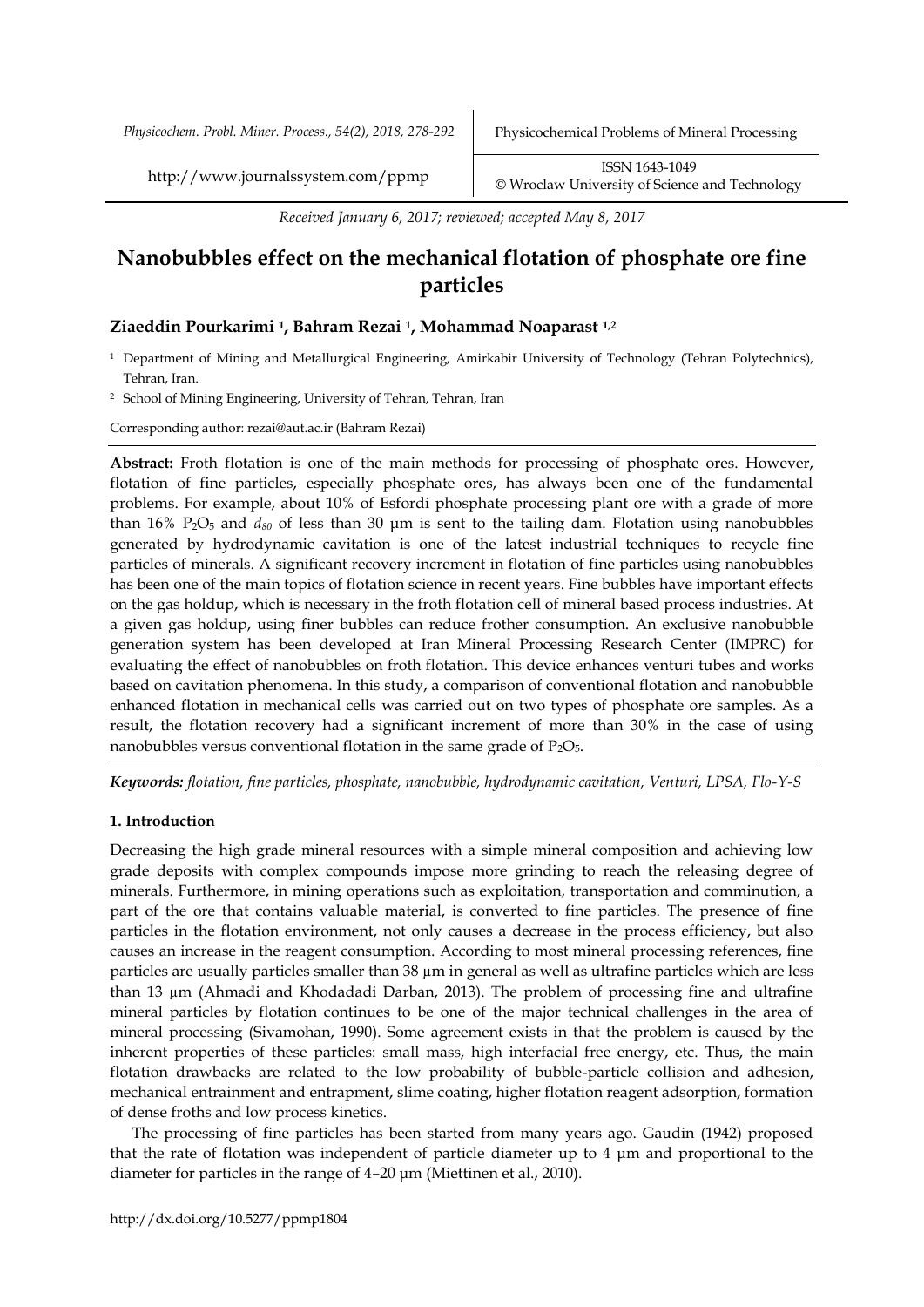*Physicochem. Probl. Miner. Process., 54(2), 2018, 278-292* Physicochemical Problems of Mineral Processing

http://www.journalssystem.com/ppmp ISSN 1643-1049 [©](http://www.minproc.pwr.wroc.pl/journal/) Wroclaw University of Science and Technology

*Received January 6, 2017; reviewed; accepted May 8, 2017*

# **Nanobubbles effect on the mechanical flotation of phosphate ore fine particles**

# **Ziaeddin Pourkarimi <sup>1</sup>, Bahram Rezai <sup>1</sup>, Mohammad Noaparast 1,2**

- <sup>1</sup> Department of Mining and Metallurgical Engineering, Amirkabir University of Technology (Tehran Polytechnics), Tehran, Iran.
- <sup>2</sup> School of Mining Engineering, University of Tehran, Tehran, Iran

Corresponding author: rezai@aut.ac.ir (Bahram Rezai)

**Abstract:** Froth flotation is one of the main methods for processing of phosphate ores. However, flotation of fine particles, especially phosphate ores, has always been one of the fundamental problems. For example, about 10% of Esfordi phosphate processing plant ore with a grade of more than 16% P2O<sup>5</sup> and *d<sup>80</sup>* of less than 30 μm is sent to the tailing dam. Flotation using nanobubbles generated by hydrodynamic cavitation is one of the latest industrial techniques to recycle fine particles of minerals. A significant recovery increment in flotation of fine particles using nanobubbles has been one of the main topics of flotation science in recent years. Fine bubbles have important effects on the gas holdup, which is necessary in the froth flotation cell of mineral based process industries. At a given gas holdup, using finer bubbles can reduce frother consumption. An exclusive nanobubble generation system has been developed at Iran Mineral Processing Research Center (IMPRC) for evaluating the effect of nanobubbles on froth flotation. This device enhances venturi tubes and works based on cavitation phenomena. In this study, a comparison of conventional flotation and nanobubble enhanced flotation in mechanical cells was carried out on two types of phosphate ore samples. As a result, the flotation recovery had a significant increment of more than 30% in the case of using nanobubbles versus conventional flotation in the same grade of  $P_2O_5$ .

*Keywords: flotation, fine particles, phosphate, nanobubble, hydrodynamic cavitation, Venturi, LPSA, Flo-Y-S*

# **1. Introduction**

Decreasing the high grade mineral resources with a simple mineral composition and achieving low grade deposits with complex compounds impose more grinding to reach the releasing degree of minerals. Furthermore, in mining operations such as exploitation, transportation and comminution, a part of the ore that contains valuable material, is converted to fine particles. The presence of fine particles in the flotation environment, not only causes a decrease in the process efficiency, but also causes an increase in the reagent consumption. According to most mineral processing references, fine particles are usually particles smaller than 38 µm in general as well as ultrafine particles which are less than 13 µm (Ahmadi and Khodadadi Darban, 2013). The problem of processing fine and ultrafine mineral particles by flotation continues to be one of the major technical challenges in the area of mineral processing (Sivamohan, 1990). Some agreement exists in that the problem is caused by the inherent properties of these particles: small mass, high interfacial free energy, etc. Thus, the main flotation drawbacks are related to the low probability of bubble-particle collision and adhesion, mechanical entrainment and entrapment, slime coating, higher flotation reagent adsorption, formation of dense froths and low process kinetics.

The processing of fine particles has been started from many years ago. Gaudin (1942) proposed that the rate of flotation was independent of particle diameter up to 4 μm and proportional to the diameter for particles in the range of 4–20 μm (Miettinen et al., 2010).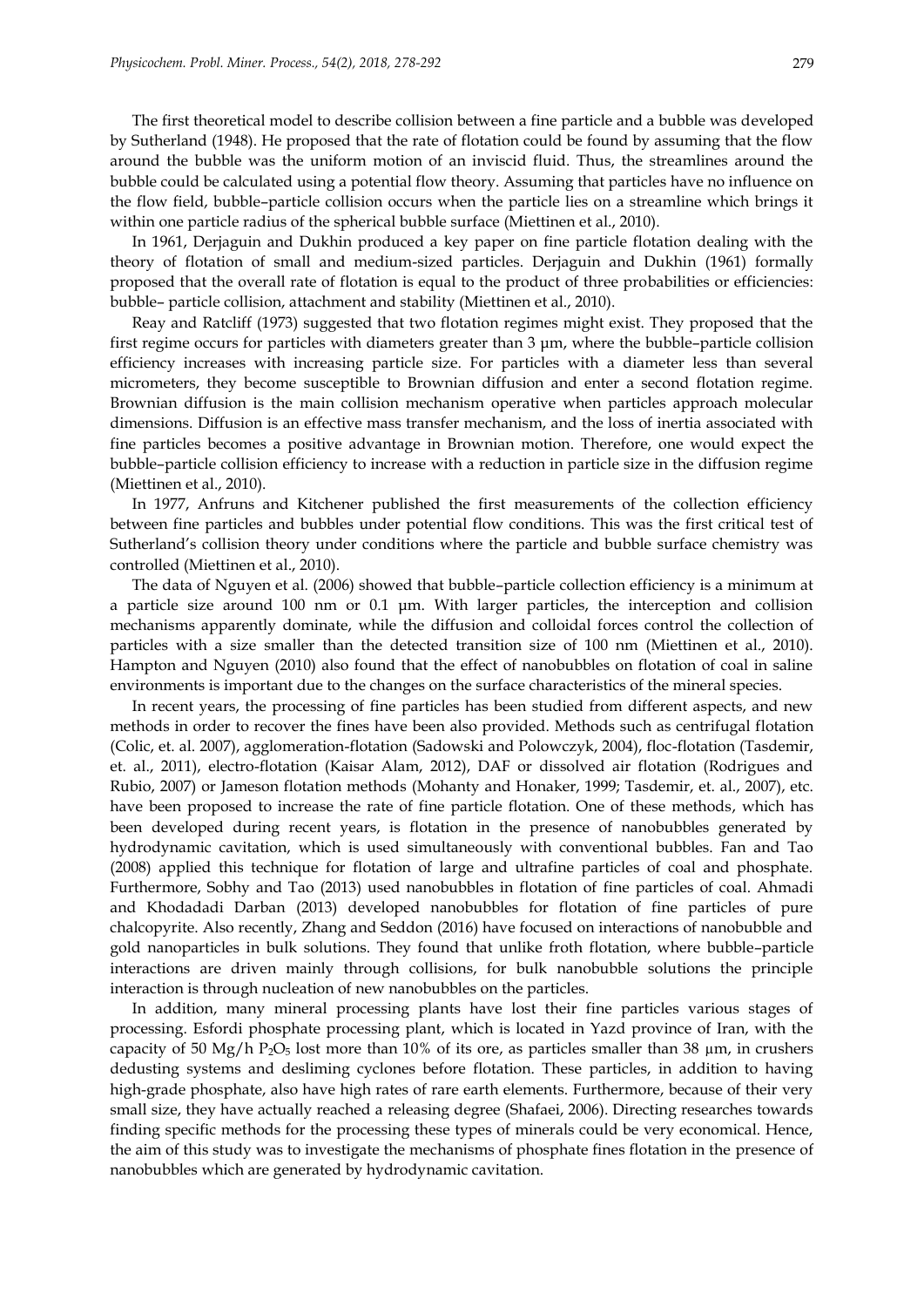The first theoretical model to describe collision between a fine particle and a bubble was developed by Sutherland (1948). He proposed that the rate of flotation could be found by assuming that the flow around the bubble was the uniform motion of an inviscid fluid. Thus, the streamlines around the bubble could be calculated using a potential flow theory. Assuming that particles have no influence on the flow field, bubble–particle collision occurs when the particle lies on a streamline which brings it within one particle radius of the spherical bubble surface (Miettinen et al., 2010).

In 1961, Derjaguin and Dukhin produced a key paper on fine particle flotation dealing with the theory of flotation of small and medium-sized particles. Derjaguin and Dukhin (1961) formally proposed that the overall rate of flotation is equal to the product of three probabilities or efficiencies: bubble– particle collision, attachment and stability (Miettinen et al., 2010).

Reay and Ratcliff (1973) suggested that two flotation regimes might exist. They proposed that the first regime occurs for particles with diameters greater than 3 μm, where the bubble–particle collision efficiency increases with increasing particle size. For particles with a diameter less than several micrometers, they become susceptible to Brownian diffusion and enter a second flotation regime. Brownian diffusion is the main collision mechanism operative when particles approach molecular dimensions. Diffusion is an effective mass transfer mechanism, and the loss of inertia associated with fine particles becomes a positive advantage in Brownian motion. Therefore, one would expect the bubble–particle collision efficiency to increase with a reduction in particle size in the diffusion regime (Miettinen et al., 2010).

In 1977, Anfruns and Kitchener published the first measurements of the collection efficiency between fine particles and bubbles under potential flow conditions. This was the first critical test of Sutherland's collision theory under conditions where the particle and bubble surface chemistry was controlled (Miettinen et al., 2010).

The data of Nguyen et al. (2006) showed that bubble–particle collection efficiency is a minimum at a particle size around 100 nm or 0.1 μm. With larger particles, the interception and collision mechanisms apparently dominate, while the diffusion and colloidal forces control the collection of particles with a size smaller than the detected transition size of 100 nm (Miettinen et al., 2010). Hampton and Nguyen (2010) also found that the effect of nanobubbles on flotation of coal in saline environments is important due to the changes on the surface characteristics of the mineral species.

In recent years, the processing of fine particles has been studied from different aspects, and new methods in order to recover the fines have been also provided. Methods such as centrifugal flotation (Colic, et. al. 2007), agglomeration-flotation (Sadowski and Polowczyk, 2004), floc-flotation (Tasdemir, et. al., 2011), electro-flotation (Kaisar Alam, 2012), DAF or dissolved air flotation (Rodrigues and Rubio, 2007) or Jameson flotation methods (Mohanty and Honaker, 1999; Tasdemir, et. al., 2007), etc. have been proposed to increase the rate of fine particle flotation. One of these methods, which has been developed during recent years, is flotation in the presence of nanobubbles generated by hydrodynamic cavitation, which is used simultaneously with conventional bubbles. Fan and Tao (2008) applied this technique for flotation of large and ultrafine particles of coal and phosphate. Furthermore, Sobhy and Tao (2013) used nanobubbles in flotation of fine particles of coal. Ahmadi and Khodadadi Darban (2013) developed nanobubbles for flotation of fine particles of pure chalcopyrite. Also recently, Zhang and Seddon (2016) have focused on interactions of nanobubble and gold nanoparticles in bulk solutions. They found that unlike froth flotation, where bubble–particle interactions are driven mainly through collisions, for bulk nanobubble solutions the principle interaction is through nucleation of new nanobubbles on the particles.

In addition, many mineral processing plants have lost their fine particles various stages of processing. Esfordi phosphate processing plant, which is located in Yazd province of Iran, with the capacity of 50 Mg/h P<sub>2</sub>O<sub>5</sub> lost more than 10% of its ore, as particles smaller than 38  $\mu$ m, in crushers dedusting systems and desliming cyclones before flotation. These particles, in addition to having high-grade phosphate, also have high rates of rare earth elements. Furthermore, because of their very small size, they have actually reached a releasing degree (Shafaei, 2006). Directing researches towards finding specific methods for the processing these types of minerals could be very economical. Hence, the aim of this study was to investigate the mechanisms of phosphate fines flotation in the presence of nanobubbles which are generated by hydrodynamic cavitation.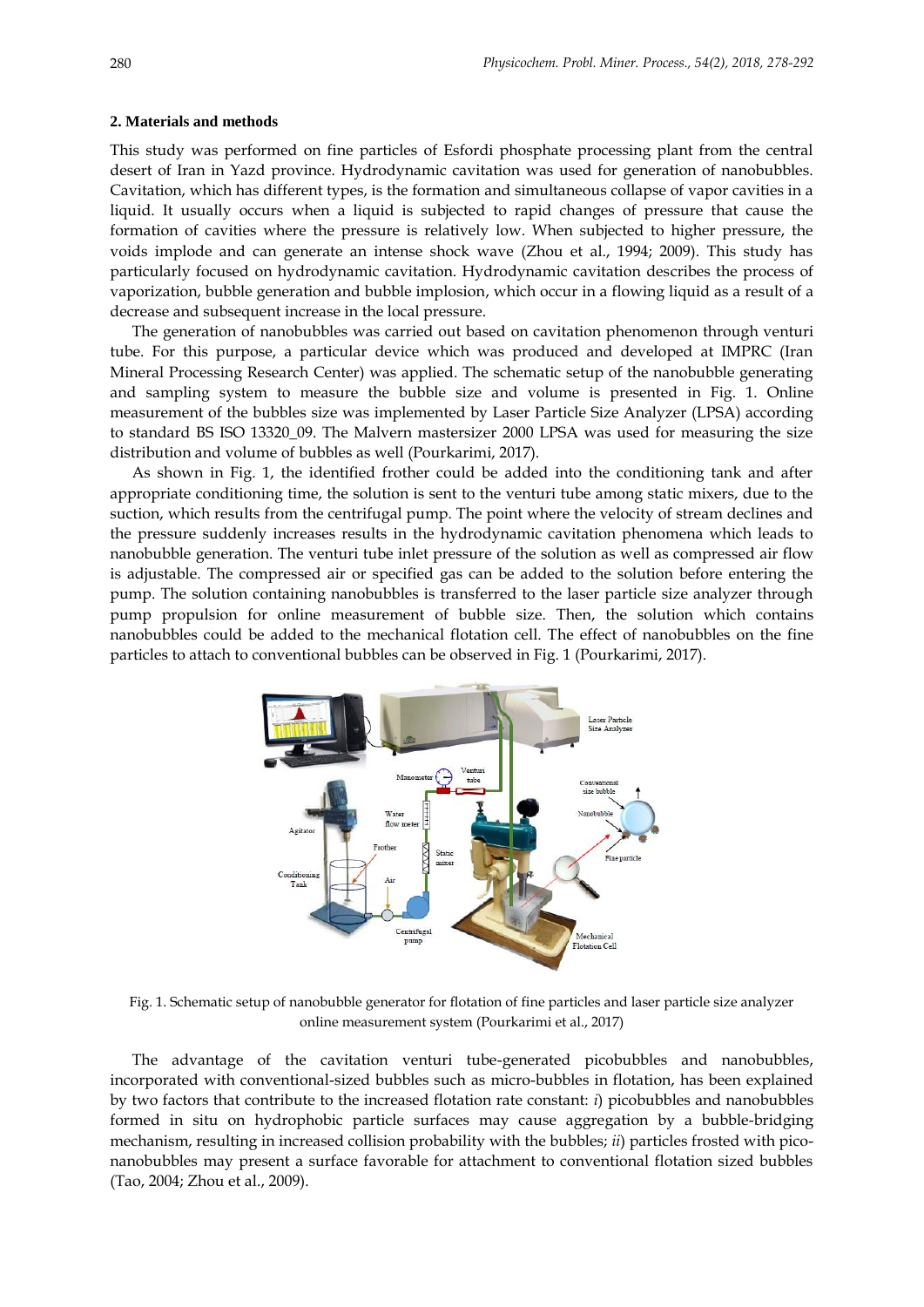#### **2. Materials and methods**

This study was performed on fine particles of Esfordi phosphate processing plant from the central desert of Iran in Yazd province. Hydrodynamic cavitation was used for generation of nanobubbles. Cavitation, which has different types, is the formation and simultaneous collapse of vapor cavities in a liquid. It usually occurs when a liquid is subjected to rapid changes of pressure that cause the formation of cavities where the pressure is relatively low. When subjected to higher pressure, the voids implode and can generate an intense shock wave (Zhou et al., 1994; 2009). This study has particularly focused on hydrodynamic cavitation. Hydrodynamic cavitation describes the process of vaporization, bubble generation and bubble implosion, which occur in a flowing liquid as a result of a decrease and subsequent increase in the local pressure.

The generation of nanobubbles was carried out based on cavitation phenomenon through venturi tube. For this purpose, a particular device which was produced and developed at IMPRC (Iran Mineral Processing Research Center) was applied. The schematic setup of the nanobubble generating and sampling system to measure the bubble size and volume is presented in Fig. 1. Online measurement of the bubbles size was implemented by Laser Particle Size Analyzer (LPSA) according to standard BS ISO 13320\_09. The Malvern mastersizer 2000 LPSA was used for measuring the size distribution and volume of bubbles as well (Pourkarimi, 2017).

As shown in Fig. 1, the identified frother could be added into the conditioning tank and after appropriate conditioning time, the solution is sent to the venturi tube among static mixers, due to the suction, which results from the centrifugal pump. The point where the velocity of stream declines and the pressure suddenly increases results in the hydrodynamic cavitation phenomena which leads to nanobubble generation. The venturi tube inlet pressure of the solution as well as compressed air flow is adjustable. The compressed air or specified gas can be added to the solution before entering the pump. The solution containing nanobubbles is transferred to the laser particle size analyzer through pump propulsion for online measurement of bubble size. Then, the solution which contains nanobubbles could be added to the mechanical flotation cell. The effect of nanobubbles on the fine particles to attach to conventional bubbles can be observed in Fig. 1 (Pourkarimi, 2017).



Fig. 1. Schematic setup of nanobubble generator for flotation of fine particles and laser particle size analyzer online measurement system (Pourkarimi et al., 2017)

The advantage of the cavitation venturi tube-generated picobubbles and nanobubbles, incorporated with conventional-sized bubbles such as micro-bubbles in flotation, has been explained by two factors that contribute to the increased flotation rate constant: *i*) picobubbles and nanobubbles formed in situ on hydrophobic particle surfaces may cause aggregation by a bubble-bridging mechanism, resulting in increased collision probability with the bubbles; *ii*) particles frosted with piconanobubbles may present a surface favorable for attachment to conventional flotation sized bubbles (Tao, 2004; Zhou et al., 2009).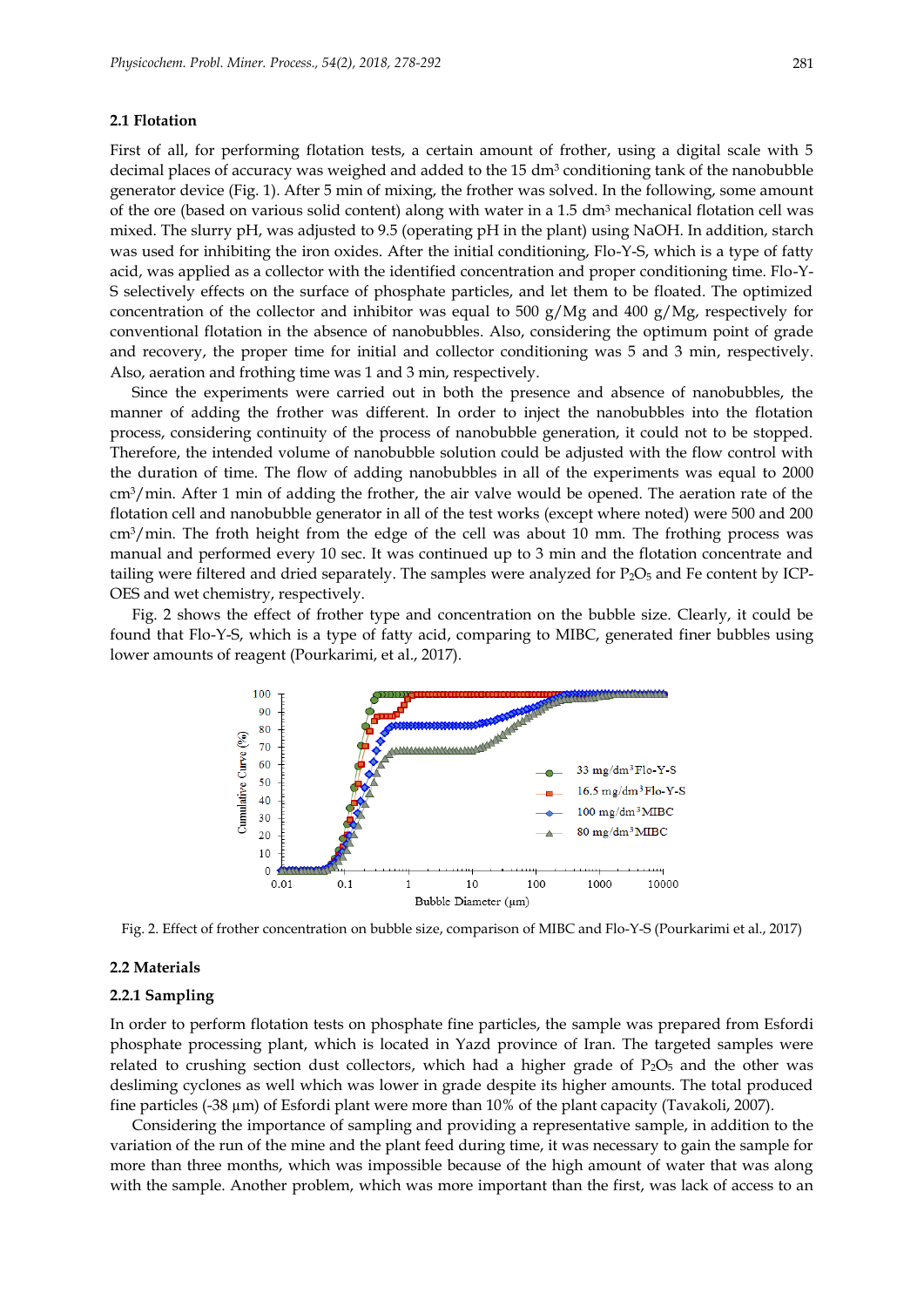#### **2.1 Flotation**

First of all, for performing flotation tests, a certain amount of frother, using a digital scale with 5 decimal places of accuracy was weighed and added to the 15 dm<sup>3</sup> conditioning tank of the nanobubble generator device (Fig. 1). After 5 min of mixing, the frother was solved. In the following, some amount of the ore (based on various solid content) along with water in a  $1.5 \text{ dm}^3$  mechanical flotation cell was mixed. The slurry pH, was adjusted to 9.5 (operating pH in the plant) using NaOH. In addition, starch was used for inhibiting the iron oxides. After the initial conditioning, Flo-Y-S, which is a type of fatty acid, was applied as a collector with the identified concentration and proper conditioning time. Flo-Y-S selectively effects on the surface of phosphate particles, and let them to be floated. The optimized concentration of the collector and inhibitor was equal to 500 g/Mg and 400 g/Mg, respectively for conventional flotation in the absence of nanobubbles. Also, considering the optimum point of grade and recovery, the proper time for initial and collector conditioning was 5 and 3 min, respectively. Also, aeration and frothing time was 1 and 3 min, respectively.

Since the experiments were carried out in both the presence and absence of nanobubbles, the manner of adding the frother was different. In order to inject the nanobubbles into the flotation process, considering continuity of the process of nanobubble generation, it could not to be stopped. Therefore, the intended volume of nanobubble solution could be adjusted with the flow control with the duration of time. The flow of adding nanobubbles in all of the experiments was equal to 2000  $\text{cm}^3/\text{min}$ . After 1 min of adding the frother, the air valve would be opened. The aeration rate of the flotation cell and nanobubble generator in all of the test works (except where noted) were 500 and 200 cm3/min. The froth height from the edge of the cell was about 10 mm. The frothing process was manual and performed every 10 sec. It was continued up to 3 min and the flotation concentrate and tailing were filtered and dried separately. The samples were analyzed for  $P_2O_5$  and Fe content by ICP-OES and wet chemistry, respectively.

Fig. 2 shows the effect of frother type and concentration on the bubble size. Clearly, it could be found that Flo-Y-S, which is a type of fatty acid, comparing to MIBC, generated finer bubbles using lower amounts of reagent (Pourkarimi, et al., 2017).



Fig. 2. Effect of frother concentration on bubble size, comparison of MIBC and Flo-Y-S (Pourkarimi et al., 2017)

## **2.2 Materials**

#### **2.2.1 Sampling**

In order to perform flotation tests on phosphate fine particles, the sample was prepared from Esfordi phosphate processing plant, which is located in Yazd province of Iran. The targeted samples were related to crushing section dust collectors, which had a higher grade of  $P_2O_5$  and the other was desliming cyclones as well which was lower in grade despite its higher amounts. The total produced fine particles (-38 µm) of Esfordi plant were more than 10% of the plant capacity (Tavakoli, 2007).

Considering the importance of sampling and providing a representative sample, in addition to the variation of the run of the mine and the plant feed during time, it was necessary to gain the sample for more than three months, which was impossible because of the high amount of water that was along with the sample. Another problem, which was more important than the first, was lack of access to an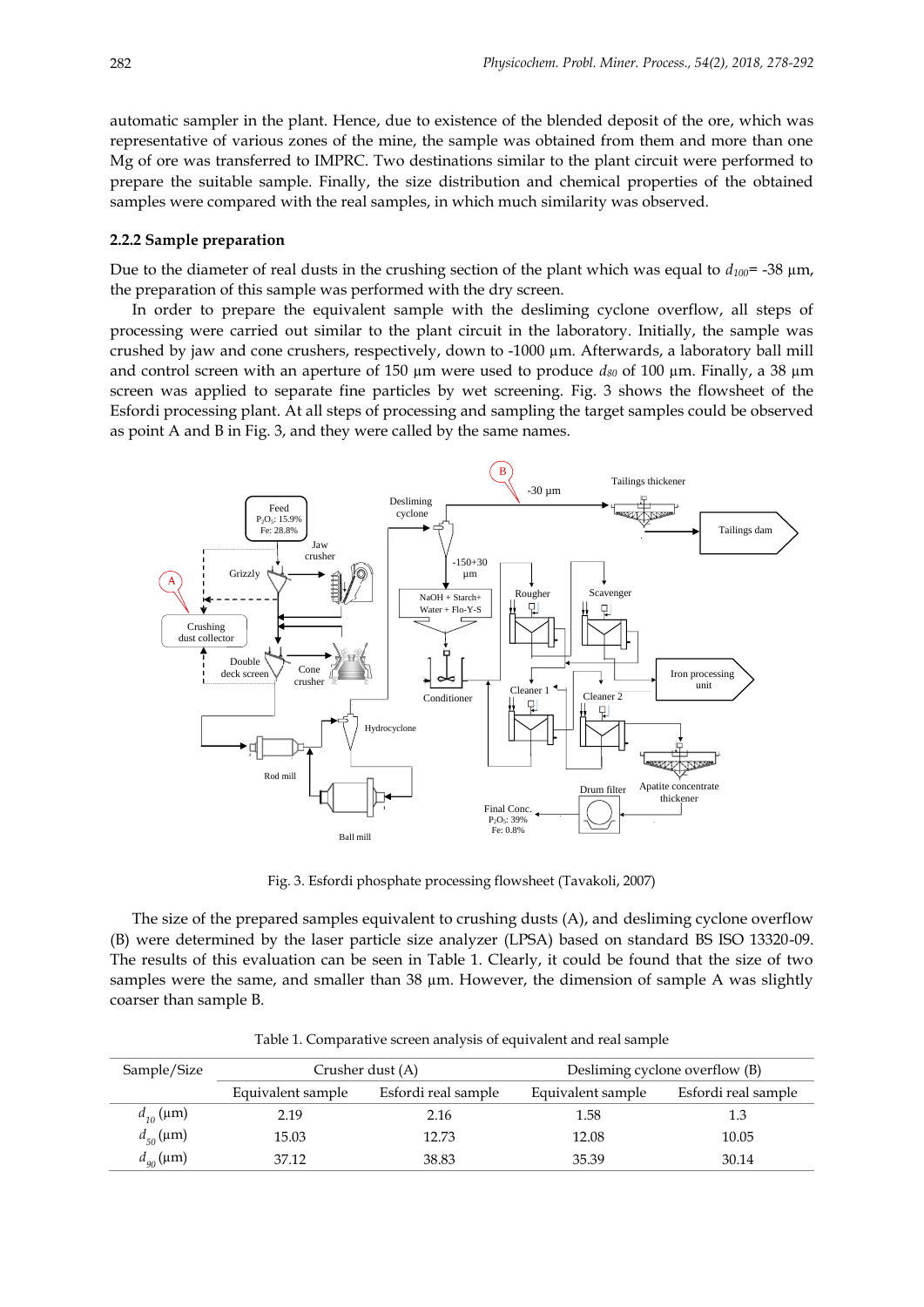automatic sampler in the plant. Hence, due to existence of the blended deposit of the ore, which was representative of various zones of the mine, the sample was obtained from them and more than one Mg of ore was transferred to IMPRC. Two destinations similar to the plant circuit were performed to prepare the suitable sample. Finally, the size distribution and chemical properties of the obtained samples were compared with the real samples, in which much similarity was observed.

#### **2.2.2 Sample preparation**

Due to the diameter of real dusts in the crushing section of the plant which was equal to  $d_{100}$ = -38  $\mu$ m, the preparation of this sample was performed with the dry screen.

In order to prepare the equivalent sample with the desliming cyclone overflow, all steps of processing were carried out similar to the plant circuit in the laboratory. Initially, the sample was crushed by jaw and cone crushers, respectively, down to -1000 µm. Afterwards, a laboratory ball mill and control screen with an aperture of 150 µm were used to produce *d<sup>80</sup>* of 100 µm. Finally, a 38 µm screen was applied to separate fine particles by wet screening. Fig. 3 shows the flowsheet of the Esfordi processing plant. At all steps of processing and sampling the target samples could be observed as point A and B in Fig. 3, and they were called by the same names.



Fig. 3. Esfordi phosphate processing flowsheet (Tavakoli, 2007)

The size of the prepared samples equivalent to crushing dusts (A), and desliming cyclone overflow (B) were determined by the laser particle size analyzer (LPSA) based on standard BS ISO 13320-09. The results of this evaluation can be seen in Table 1. Clearly, it could be found that the size of two samples were the same, and smaller than 38  $\mu$ m. However, the dimension of sample A was slightly coarser than sample B.

| Sample/Size             | Crusher dust (A)  |                     |                   | Desliming cyclone overflow (B) |
|-------------------------|-------------------|---------------------|-------------------|--------------------------------|
|                         | Equivalent sample | Esfordi real sample | Equivalent sample | Esfordi real sample            |
| $d_{10}^{\text{}}$ (µm) | 2.19              | 2.16                | 1.58              |                                |
| $d_{50}(\mu m)$         | 15.03             | 12.73               | 12.08             | 10.05                          |
| $d_{90}(\mu m)$         | 37.12             | 38.83               | 35.39             | 30.14                          |

Table 1. Comparative screen analysis of equivalent and real sample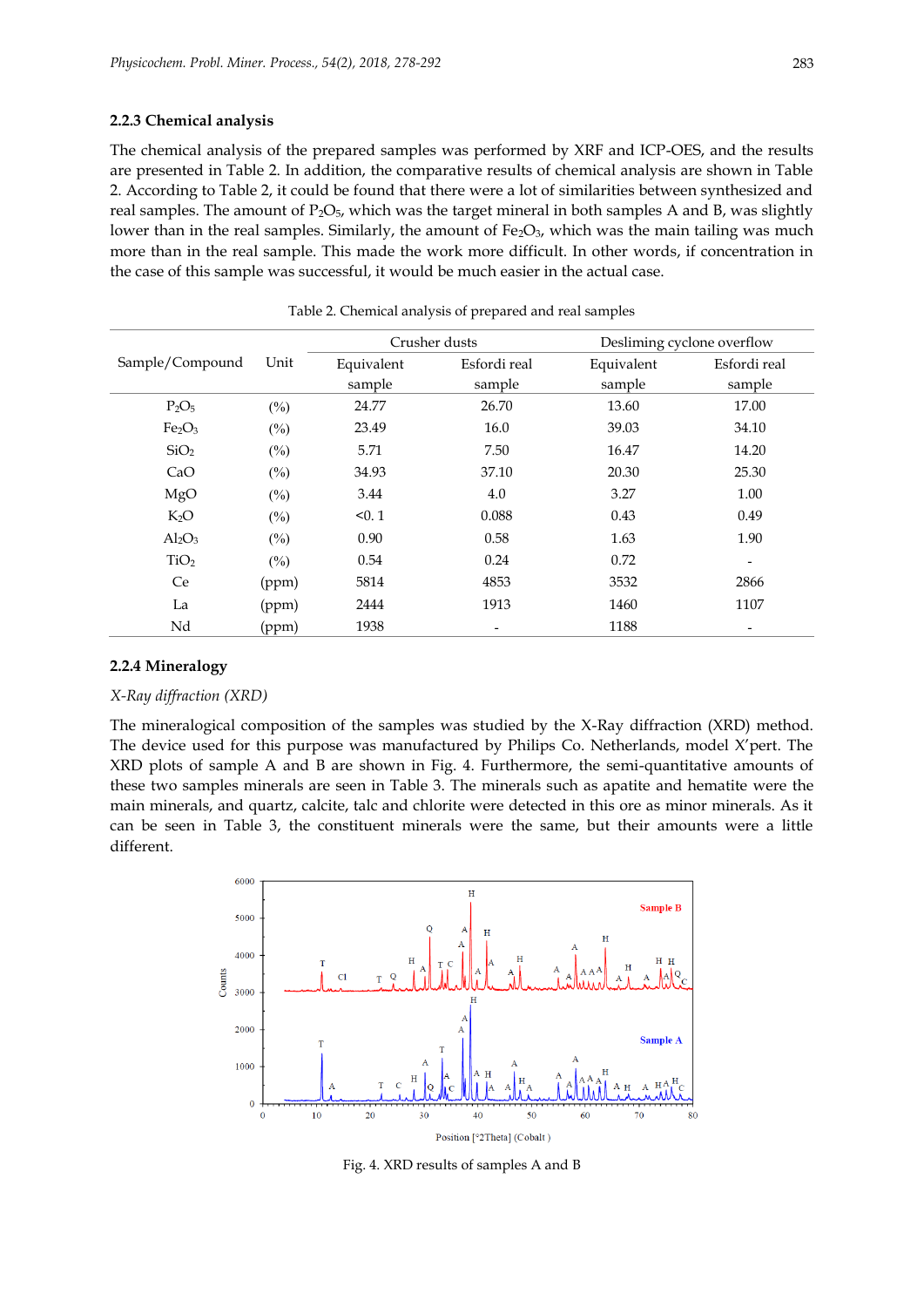#### **2.2.3 Chemical analysis**

The chemical analysis of the prepared samples was performed by XRF and ICP-OES, and the results are presented in Table 2. In addition, the comparative results of chemical analysis are shown in Table 2. According to Table 2, it could be found that there were a lot of similarities between synthesized and real samples. The amount of  $P_2O_5$ , which was the target mineral in both samples A and B, was slightly lower than in the real samples. Similarly, the amount of  $Fe<sub>2</sub>O<sub>3</sub>$ , which was the main tailing was much more than in the real sample. This made the work more difficult. In other words, if concentration in the case of this sample was successful, it would be much easier in the actual case.

|                                |        | Crusher dusts | Desliming cyclone overflow |            |                          |
|--------------------------------|--------|---------------|----------------------------|------------|--------------------------|
| Sample/Compound                | Unit   | Equivalent    | Esfordi real               | Equivalent | Esfordi real             |
|                                |        | sample        | sample                     | sample     | sample                   |
| $P_2O_5$                       | $(\%)$ | 24.77         | 26.70                      | 13.60      | 17.00                    |
| Fe <sub>2</sub> O <sub>3</sub> | $(\%)$ | 23.49         | 16.0                       | 39.03      | 34.10                    |
| SiO <sub>2</sub>               | $(\%)$ | 5.71          | 7.50                       | 16.47      | 14.20                    |
| CaO                            | $(\%)$ | 34.93         | 37.10                      | 20.30      | 25.30                    |
| MgO                            | $(\%)$ | 3.44          | 4.0                        | 3.27       | 1.00                     |
| $K_2O$                         | $(\%)$ | < 0.1         | 0.088                      | 0.43       | 0.49                     |
| $Al_2O_3$                      | $(\%)$ | 0.90          | 0.58                       | 1.63       | 1.90                     |
| TiO <sub>2</sub>               | (%)    | 0.54          | 0.24                       | 0.72       | $\overline{\phantom{a}}$ |
| Ce                             | (ppm)  | 5814          | 4853                       | 3532       | 2866                     |
| La                             | (ppm)  | 2444          | 1913                       | 1460       | 1107                     |
| Nd                             | (ppm)  | 1938          | ٠                          | 1188       | $\overline{\phantom{a}}$ |

Table 2. Chemical analysis of prepared and real samples

## **2.2.4 Mineralogy**

#### *X-Ray diffraction (XRD)*

The mineralogical composition of the samples was studied by the X-Ray diffraction (XRD) method. The device used for this purpose was manufactured by Philips Co. Netherlands, model X'pert. The XRD plots of sample A and B are shown in Fig. 4. Furthermore, the semi-quantitative amounts of these two samples minerals are seen in Table 3. The minerals such as apatite and hematite were the main minerals, and quartz, calcite, talc and chlorite were detected in this ore as minor minerals. As it can be seen in Table 3, the constituent minerals were the same, but their amounts were a little different.



Fig. 4. XRD results of samples A and B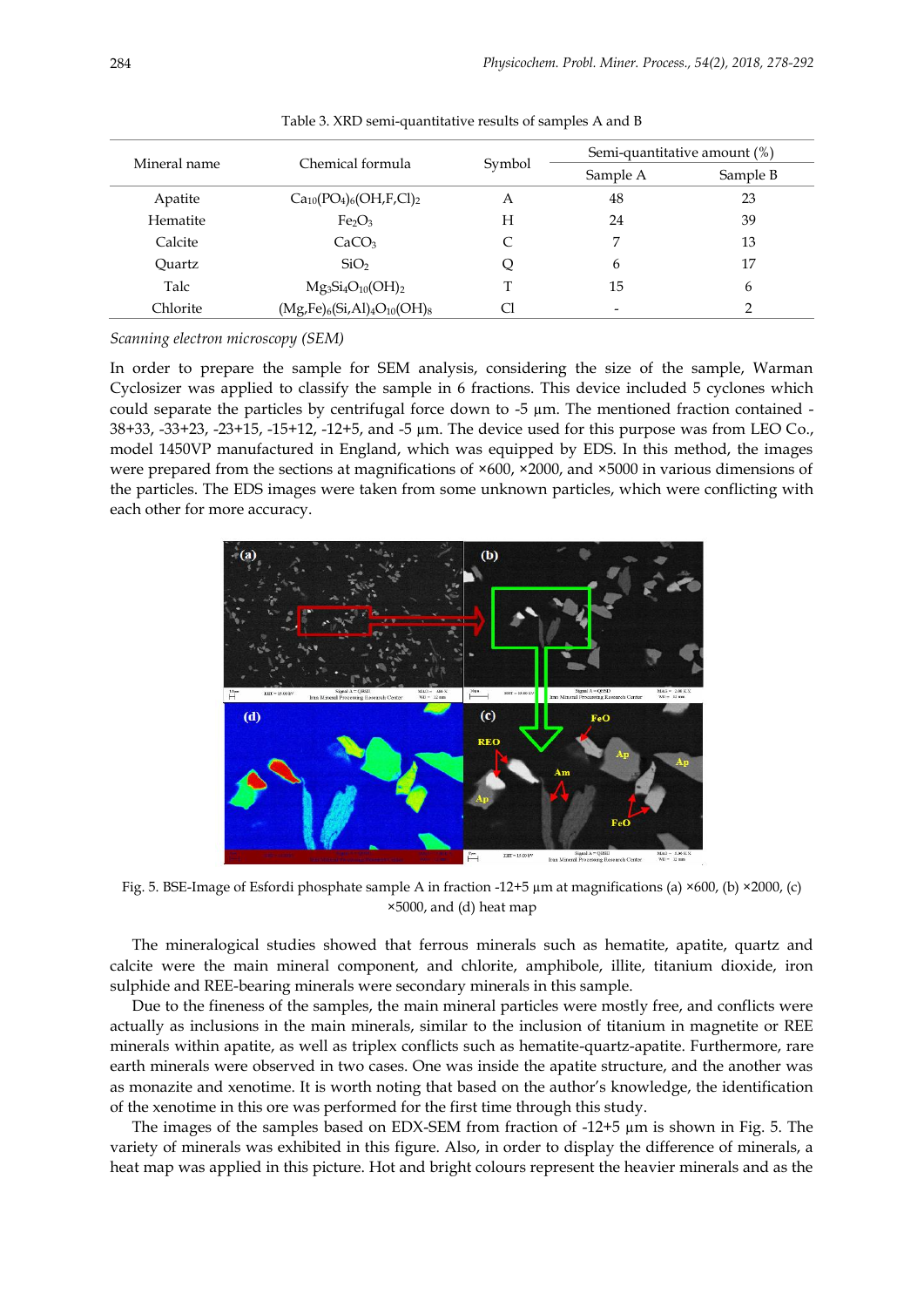|              |                                  |        |          | Semi-quantitative amount (%) |  |
|--------------|----------------------------------|--------|----------|------------------------------|--|
| Mineral name | Chemical formula                 | Symbol | Sample A | Sample B                     |  |
| Apatite      | $Ca_{10}(PO_4)_6(OH, F, Cl)_2$   | А      | 48       | 23                           |  |
| Hematite     | Fe <sub>2</sub> O <sub>3</sub>   | Н      | 24       | 39                           |  |
| Calcite      | CaCO <sub>3</sub>                | C      | 7        | 13                           |  |
| Quartz       | SiO <sub>2</sub>                 | Q      | 6        | 17                           |  |
| Talc         | $Mg_3Si_4O_{10}(OH)_2$           | T      | 15       | 6                            |  |
| Chlorite     | $(Mg,Fe)_6(Si,Al)_4O_{10}(OH)_8$ | CI     |          | ◠                            |  |

Table 3. XRD semi-quantitative results of samples A and B

*Scanning electron microscopy (SEM)*

In order to prepare the sample for SEM analysis, considering the size of the sample, Warman Cyclosizer was applied to classify the sample in 6 fractions. This device included 5 cyclones which could separate the particles by centrifugal force down to  $-5 \mu m$ . The mentioned fraction contained  $-$ 38+33, -33+23, -23+15, -15+12, -12+5, and -5 µm. The device used for this purpose was from LEO Co., model 1450VP manufactured in England, which was equipped by EDS. In this method, the images were prepared from the sections at magnifications of  $\times 600$ ,  $\times 2000$ , and  $\times 5000$  in various dimensions of the particles. The EDS images were taken from some unknown particles, which were conflicting with each other for more accuracy.



Fig. 5. BSE-Image of Esfordi phosphate sample A in fraction -12+5 µm at magnifications (a) ×600, (b) ×2000, (c) ×5000, and (d) heat map

The mineralogical studies showed that ferrous minerals such as hematite, apatite, quartz and calcite were the main mineral component, and chlorite, amphibole, illite, titanium dioxide, iron sulphide and REE-bearing minerals were secondary minerals in this sample.

Due to the fineness of the samples, the main mineral particles were mostly free, and conflicts were actually as inclusions in the main minerals, similar to the inclusion of titanium in magnetite or REE minerals within apatite, as well as triplex conflicts such as hematite-quartz-apatite. Furthermore, rare earth minerals were observed in two cases. One was inside the apatite structure, and the another was as monazite and xenotime. It is worth noting that based on the author's knowledge, the identification of the xenotime in this ore was performed for the first time through this study.

The images of the samples based on EDX-SEM from fraction of  $-12+5 \mu m$  is shown in Fig. 5. The variety of minerals was exhibited in this figure. Also, in order to display the difference of minerals, a heat map was applied in this picture. Hot and bright colours represent the heavier minerals and as the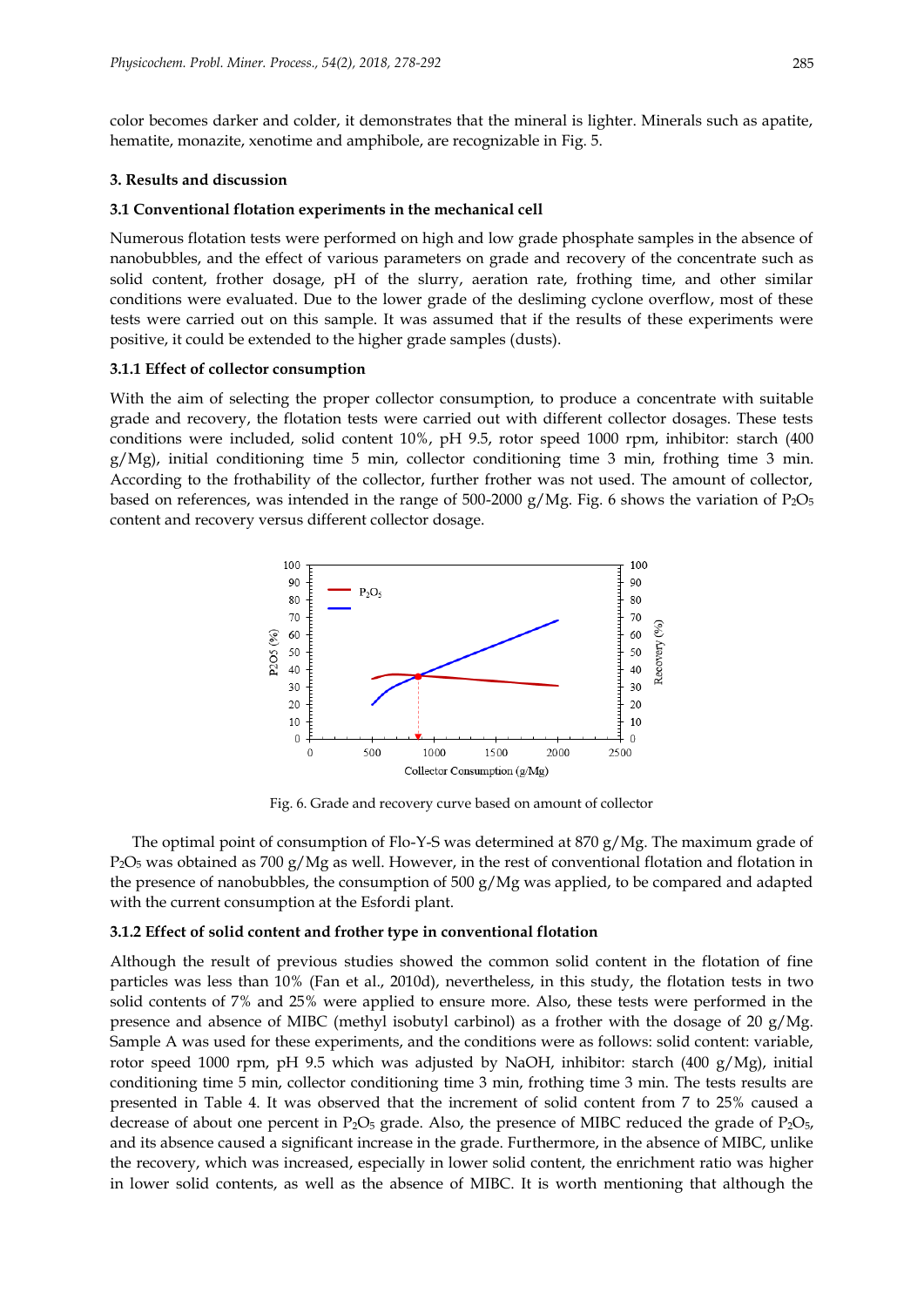color becomes darker and colder, it demonstrates that the mineral is lighter. Minerals such as apatite, hematite, monazite, xenotime and amphibole, are recognizable in Fig. 5.

### **3. Results and discussion**

#### **3.1 Conventional flotation experiments in the mechanical cell**

Numerous flotation tests were performed on high and low grade phosphate samples in the absence of nanobubbles, and the effect of various parameters on grade and recovery of the concentrate such as solid content, frother dosage, pH of the slurry, aeration rate, frothing time, and other similar conditions were evaluated. Due to the lower grade of the desliming cyclone overflow, most of these tests were carried out on this sample. It was assumed that if the results of these experiments were positive, it could be extended to the higher grade samples (dusts).

## **3.1.1 Effect of collector consumption**

With the aim of selecting the proper collector consumption, to produce a concentrate with suitable grade and recovery, the flotation tests were carried out with different collector dosages. These tests conditions were included, solid content 10%, pH 9.5, rotor speed 1000 rpm, inhibitor: starch (400  $g/Mg$ ), initial conditioning time 5 min, collector conditioning time 3 min, frothing time 3 min. According to the frothability of the collector, further frother was not used. The amount of collector, based on references, was intended in the range of 500-2000 g/Mg. Fig. 6 shows the variation of  $P_2O_5$ content and recovery versus different collector dosage.



Fig. 6. Grade and recovery curve based on amount of collector

The optimal point of consumption of Flo-Y-S was determined at 870 g/Mg. The maximum grade of  $P_2O_5$  was obtained as 700 g/Mg as well. However, in the rest of conventional flotation and flotation in the presence of nanobubbles, the consumption of 500  $g/Mg$  was applied, to be compared and adapted with the current consumption at the Esfordi plant.

## **3.1.2 Effect of solid content and frother type in conventional flotation**

Although the result of previous studies showed the common solid content in the flotation of fine particles was less than 10% (Fan et al., 2010d), nevertheless, in this study, the flotation tests in two solid contents of 7% and 25% were applied to ensure more. Also, these tests were performed in the presence and absence of MIBC (methyl isobutyl carbinol) as a frother with the dosage of 20 g/Mg. Sample A was used for these experiments, and the conditions were as follows: solid content: variable, rotor speed 1000 rpm, pH 9.5 which was adjusted by NaOH, inhibitor: starch (400 g/Mg), initial conditioning time 5 min, collector conditioning time 3 min, frothing time 3 min. The tests results are presented in Table 4. It was observed that the increment of solid content from 7 to 25% caused a decrease of about one percent in  $P_2O_5$  grade. Also, the presence of MIBC reduced the grade of  $P_2O_{5}$ , and its absence caused a significant increase in the grade. Furthermore, in the absence of MIBC, unlike the recovery, which was increased, especially in lower solid content, the enrichment ratio was higher in lower solid contents, as well as the absence of MIBC. It is worth mentioning that although the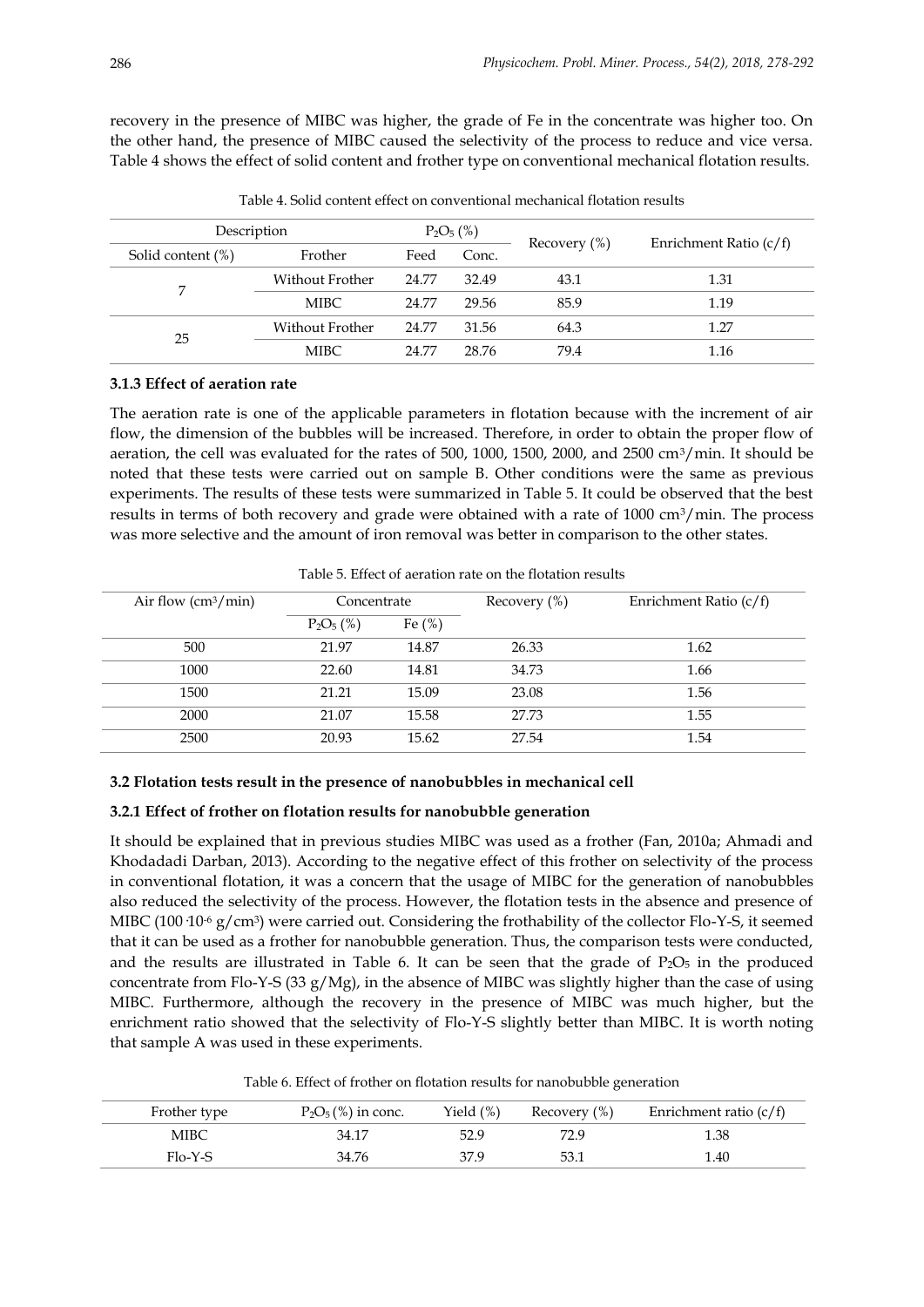recovery in the presence of MIBC was higher, the grade of Fe in the concentrate was higher too. On the other hand, the presence of MIBC caused the selectivity of the process to reduce and vice versa. Table 4 shows the effect of solid content and frother type on conventional mechanical flotation results.

| Description       |                 | $P_2O_5$ (%) |       |                  |                          |
|-------------------|-----------------|--------------|-------|------------------|--------------------------|
| Solid content (%) | Frother         | Feed         | Conc. | Recovery $(\% )$ | Enrichment Ratio $(c/f)$ |
|                   | Without Frother | 24.77        | 32.49 | 43.1             | 1.31                     |
|                   | MIBC.           | 24.77        | 29.56 | 85.9             | 1.19                     |
| 25                | Without Frother | 24.77        | 31.56 | 64.3             | 1.27                     |
|                   | MIBC.           | 24.77        | 28.76 | 79.4             | 1.16                     |

Table 4. Solid content effect on conventional mechanical flotation results

# **3.1.3 Effect of aeration rate**

The aeration rate is one of the applicable parameters in flotation because with the increment of air flow, the dimension of the bubbles will be increased. Therefore, in order to obtain the proper flow of aeration, the cell was evaluated for the rates of 500, 1000, 1500, 2000, and 2500 cm3/min. It should be noted that these tests were carried out on sample B. Other conditions were the same as previous experiments. The results of these tests were summarized in Table 5. It could be observed that the best results in terms of both recovery and grade were obtained with a rate of 1000 cm3/min. The process was more selective and the amount of iron removal was better in comparison to the other states.

| Air flow $\left(\frac{cm^3}{m} \right)$ | Concentrate  |            | Recovery $(\%)$ | Enrichment Ratio (c/f) |  |
|-----------------------------------------|--------------|------------|-----------------|------------------------|--|
|                                         | $P_2O_5$ (%) | Fe $(\% )$ |                 |                        |  |
| 500                                     | 21.97        | 14.87      | 26.33           | 1.62                   |  |
| 1000                                    | 22.60        | 14.81      | 34.73           | 1.66                   |  |
| 1500                                    | 21.21        | 15.09      | 23.08           | 1.56                   |  |
| 2000                                    | 21.07        | 15.58      | 27.73           | 1.55                   |  |
| 2500                                    | 20.93        | 15.62      | 27.54           | 1.54                   |  |

Table 5. Effect of aeration rate on the flotation results

## **3.2 Flotation tests result in the presence of nanobubbles in mechanical cell**

#### **3.2.1 Effect of frother on flotation results for nanobubble generation**

It should be explained that in previous studies MIBC was used as a frother (Fan, 2010a; Ahmadi and Khodadadi Darban, 2013). According to the negative effect of this frother on selectivity of the process in conventional flotation, it was a concern that the usage of MIBC for the generation of nanobubbles also reduced the selectivity of the process. However, the flotation tests in the absence and presence of MIBC (100  $10^5$  g/cm<sup>3</sup>) were carried out. Considering the frothability of the collector Flo-Y-S, it seemed that it can be used as a frother for nanobubble generation. Thus, the comparison tests were conducted, and the results are illustrated in Table 6. It can be seen that the grade of  $P_2O_5$  in the produced concentrate from Flo-Y-S (33 g/Mg), in the absence of MIBC was slightly higher than the case of using MIBC. Furthermore, although the recovery in the presence of MIBC was much higher, but the enrichment ratio showed that the selectivity of Flo-Y-S slightly better than MIBC. It is worth noting that sample A was used in these experiments.

Table 6. Effect of frother on flotation results for nanobubble generation

| Frother type | $P_2O_5(\%)$ in conc. | Yield $(\%)$ | Recovery (%) | Enrichment ratio $(c/f)$ |
|--------------|-----------------------|--------------|--------------|--------------------------|
| MIBC.        | 34.17                 | 52.9         | 72.9         | 1.38                     |
| Flo-Y-S      | 34.76                 | 37.9         | 53.1         | 1.40                     |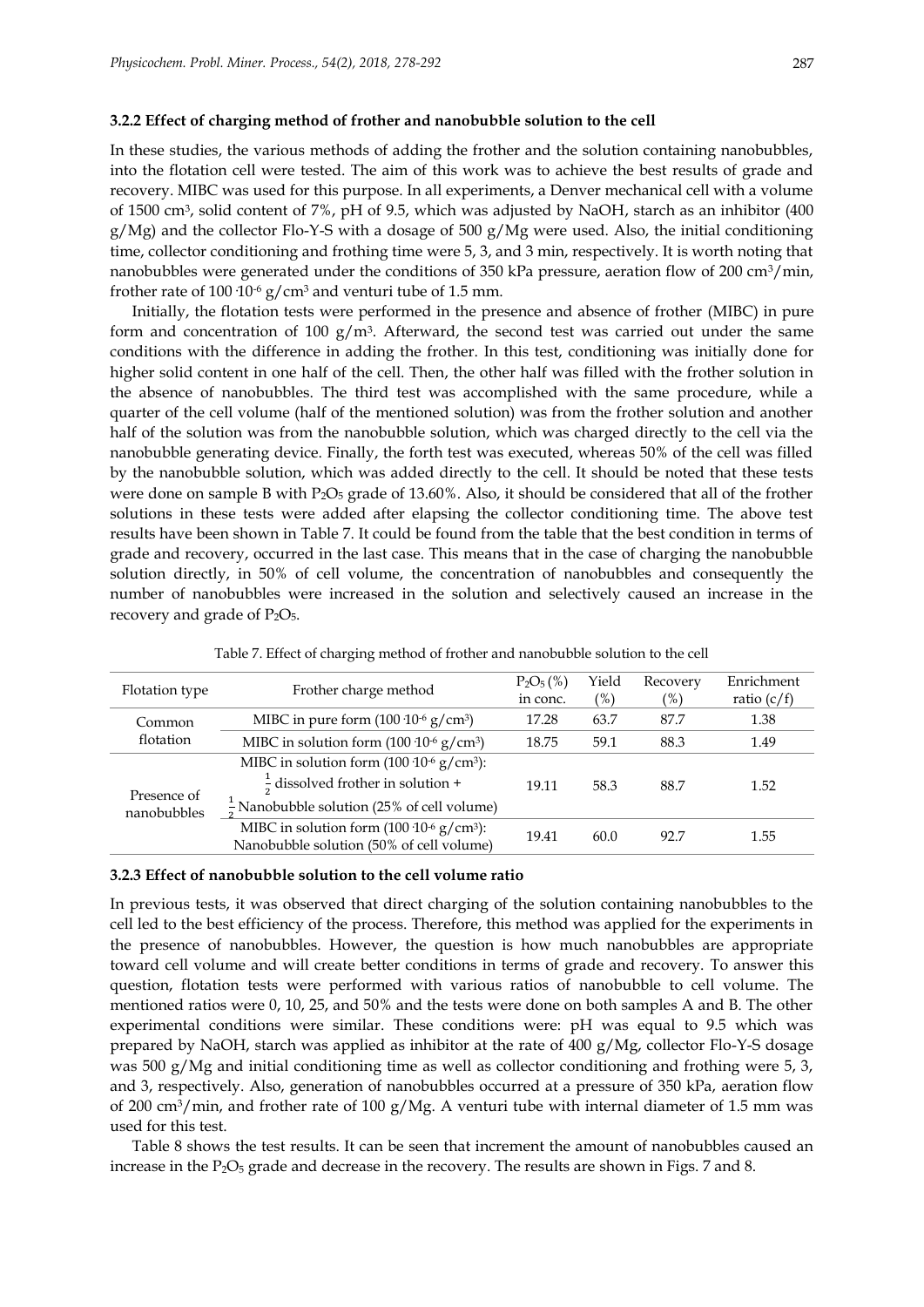### **3.2.2 Effect of charging method of frother and nanobubble solution to the cell**

In these studies, the various methods of adding the frother and the solution containing nanobubbles, into the flotation cell were tested. The aim of this work was to achieve the best results of grade and recovery. MIBC was used for this purpose. In all experiments, a Denver mechanical cell with a volume of 1500 cm<sup>3</sup> , solid content of 7%, pH of 9.5, which was adjusted by NaOH, starch as an inhibitor (400  $g/Mg$ ) and the collector Flo-Y-S with a dosage of 500  $g/Mg$  were used. Also, the initial conditioning time, collector conditioning and frothing time were 5, 3, and 3 min, respectively. It is worth noting that nanobubbles were generated under the conditions of 350 kPa pressure, aeration flow of 200 cm<sup>3</sup>/min, frother rate of 100  $10^{-6}$  g/cm<sup>3</sup> and venturi tube of 1.5 mm.

Initially, the flotation tests were performed in the presence and absence of frother (MIBC) in pure form and concentration of  $100 \text{ g/m}^3$ . Afterward, the second test was carried out under the same conditions with the difference in adding the frother. In this test, conditioning was initially done for higher solid content in one half of the cell. Then, the other half was filled with the frother solution in the absence of nanobubbles. The third test was accomplished with the same procedure, while a quarter of the cell volume (half of the mentioned solution) was from the frother solution and another half of the solution was from the nanobubble solution, which was charged directly to the cell via the nanobubble generating device. Finally, the forth test was executed, whereas 50% of the cell was filled by the nanobubble solution, which was added directly to the cell. It should be noted that these tests were done on sample B with  $P_2O_5$  grade of 13.60%. Also, it should be considered that all of the frother solutions in these tests were added after elapsing the collector conditioning time. The above test results have been shown in Table 7. It could be found from the table that the best condition in terms of grade and recovery, occurred in the last case. This means that in the case of charging the nanobubble solution directly, in 50% of cell volume, the concentration of nanobubbles and consequently the number of nanobubbles were increased in the solution and selectively caused an increase in the recovery and grade of  $P_2O_5$ .

| Flotation type             | Frother charge method                                                                                | $P_2O_5(\%)$<br>in conc. | Yield<br>$(\%)$ | Recovery<br>(%) | Enrichment<br>ratio $(c/f)$ |
|----------------------------|------------------------------------------------------------------------------------------------------|--------------------------|-----------------|-----------------|-----------------------------|
| Common                     | MIBC in pure form $(100 \ 10^{-6} \text{ g/cm}^3)$                                                   | 17.28                    | 63.7            | 87.7            | 1.38                        |
| flotation                  | MIBC in solution form $(100 \t10^{-6} \text{ g/cm}^3)$                                               | 18.75                    | 59.1            | 88.3            | 1.49                        |
|                            | MIBC in solution form $(100 \t10^{-6} \text{ g/cm}^3)$ :                                             |                          |                 |                 |                             |
| Presence of<br>nanobubbles | $\frac{1}{2}$ dissolved frother in solution +                                                        | 19.11                    | 58.3            | 88.7            | 1.52                        |
|                            | $\frac{1}{2}$ Nanobubble solution (25% of cell volume)                                               |                          |                 |                 |                             |
|                            | MIBC in solution form $(100 \t10^{-6} \text{ g/cm}^3)$ :<br>Nanobubble solution (50% of cell volume) | 19.41                    | 60.0            | 92.7            | 1.55                        |

Table 7. Effect of charging method of frother and nanobubble solution to the cell

# **3.2.3 Effect of nanobubble solution to the cell volume ratio**

In previous tests, it was observed that direct charging of the solution containing nanobubbles to the cell led to the best efficiency of the process. Therefore, this method was applied for the experiments in the presence of nanobubbles. However, the question is how much nanobubbles are appropriate toward cell volume and will create better conditions in terms of grade and recovery. To answer this question, flotation tests were performed with various ratios of nanobubble to cell volume. The mentioned ratios were 0, 10, 25, and 50% and the tests were done on both samples A and B. The other experimental conditions were similar. These conditions were: pH was equal to 9.5 which was prepared by NaOH, starch was applied as inhibitor at the rate of 400 g/Mg, collector Flo-Y-S dosage was 500 g/Mg and initial conditioning time as well as collector conditioning and frothing were 5, 3, and 3, respectively. Also, generation of nanobubbles occurred at a pressure of 350 kPa, aeration flow of 200 cm<sup>3</sup>/min, and frother rate of 100 g/Mg. A venturi tube with internal diameter of 1.5 mm was used for this test.

Table 8 shows the test results. It can be seen that increment the amount of nanobubbles caused an increase in the P<sub>2</sub>O<sub>5</sub> grade and decrease in the recovery. The results are shown in Figs. 7 and 8.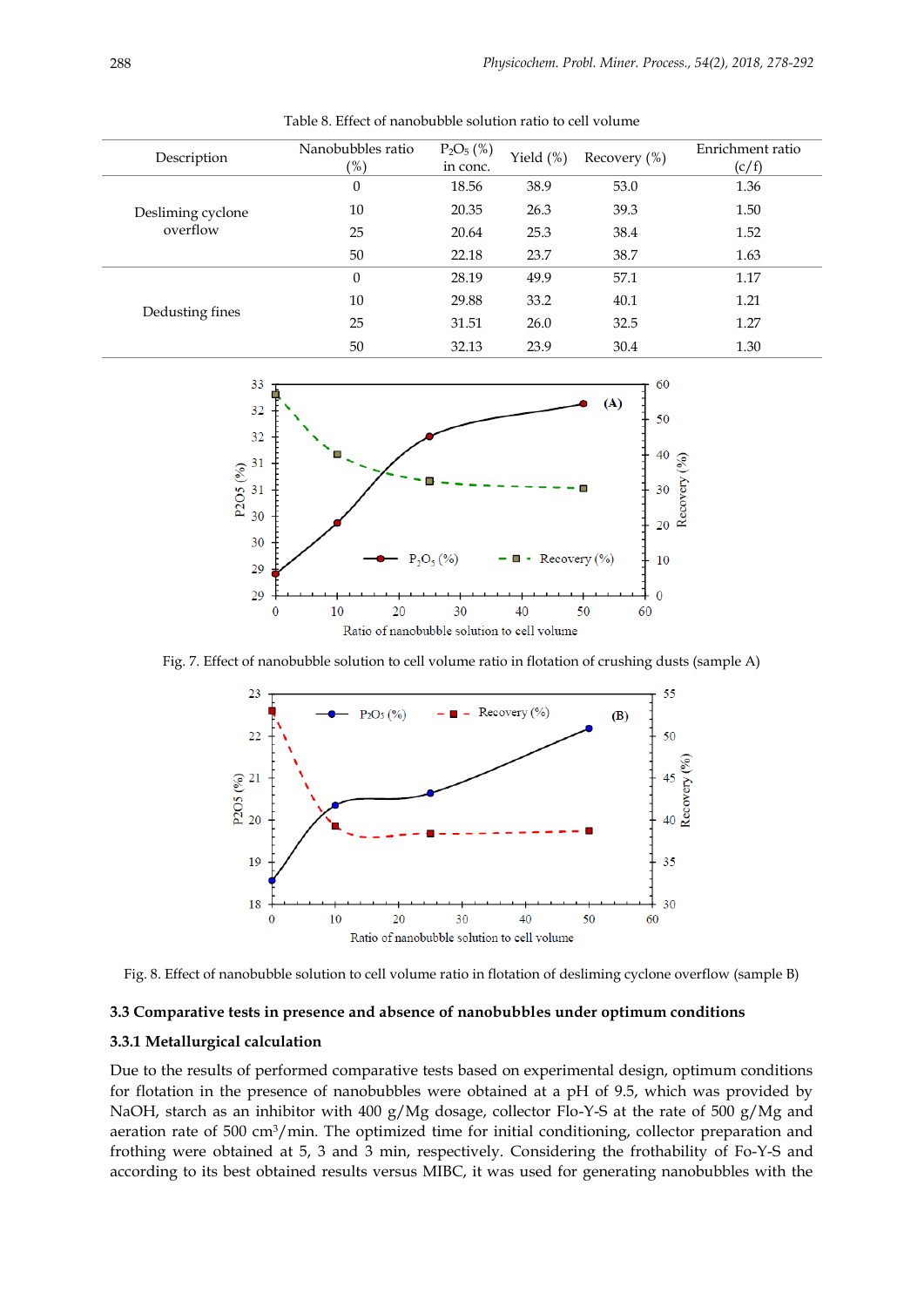| Description       | Nanobubbles ratio<br>$\mathcal{O}(6)$ | $P_2O_5$ (%)<br>in conc. | Yield $(\%)$ | Recovery $(\%)$ | Enrichment ratio<br>(c/f) |
|-------------------|---------------------------------------|--------------------------|--------------|-----------------|---------------------------|
|                   | 0                                     | 18.56                    | 38.9         | 53.0            | 1.36                      |
| Desliming cyclone | 10                                    | 20.35                    | 26.3         | 39.3            | 1.50                      |
| overflow          | 25                                    | 20.64                    | 25.3         | 38.4            | 1.52                      |
|                   | 50                                    | 22.18                    | 23.7         | 38.7            | 1.63                      |
|                   | 0                                     | 28.19                    | 49.9         | 57.1            | 1.17                      |
| Dedusting fines   | 10                                    | 29.88                    | 33.2         | 40.1            | 1.21                      |
|                   | 25                                    | 31.51                    | 26.0         | 32.5            | 1.27                      |
|                   | 50                                    | 32.13                    | 23.9         | 30.4            | 1.30                      |

Table 8. Effect of nanobubble solution ratio to cell volume



Fig. 7. Effect of nanobubble solution to cell volume ratio in flotation of crushing dusts (sample A)





# **3.3 Comparative tests in presence and absence of nanobubbles under optimum conditions**

## **3.3.1 Metallurgical calculation**

Due to the results of performed comparative tests based on experimental design, optimum conditions for flotation in the presence of nanobubbles were obtained at a pH of 9.5, which was provided by NaOH, starch as an inhibitor with 400 g/Mg dosage, collector Flo-Y-S at the rate of 500 g/Mg and aeration rate of 500 cm<sup>3</sup>/min. The optimized time for initial conditioning, collector preparation and frothing were obtained at 5, 3 and 3 min, respectively. Considering the frothability of Fo-Y-S and according to its best obtained results versus MIBC, it was used for generating nanobubbles with the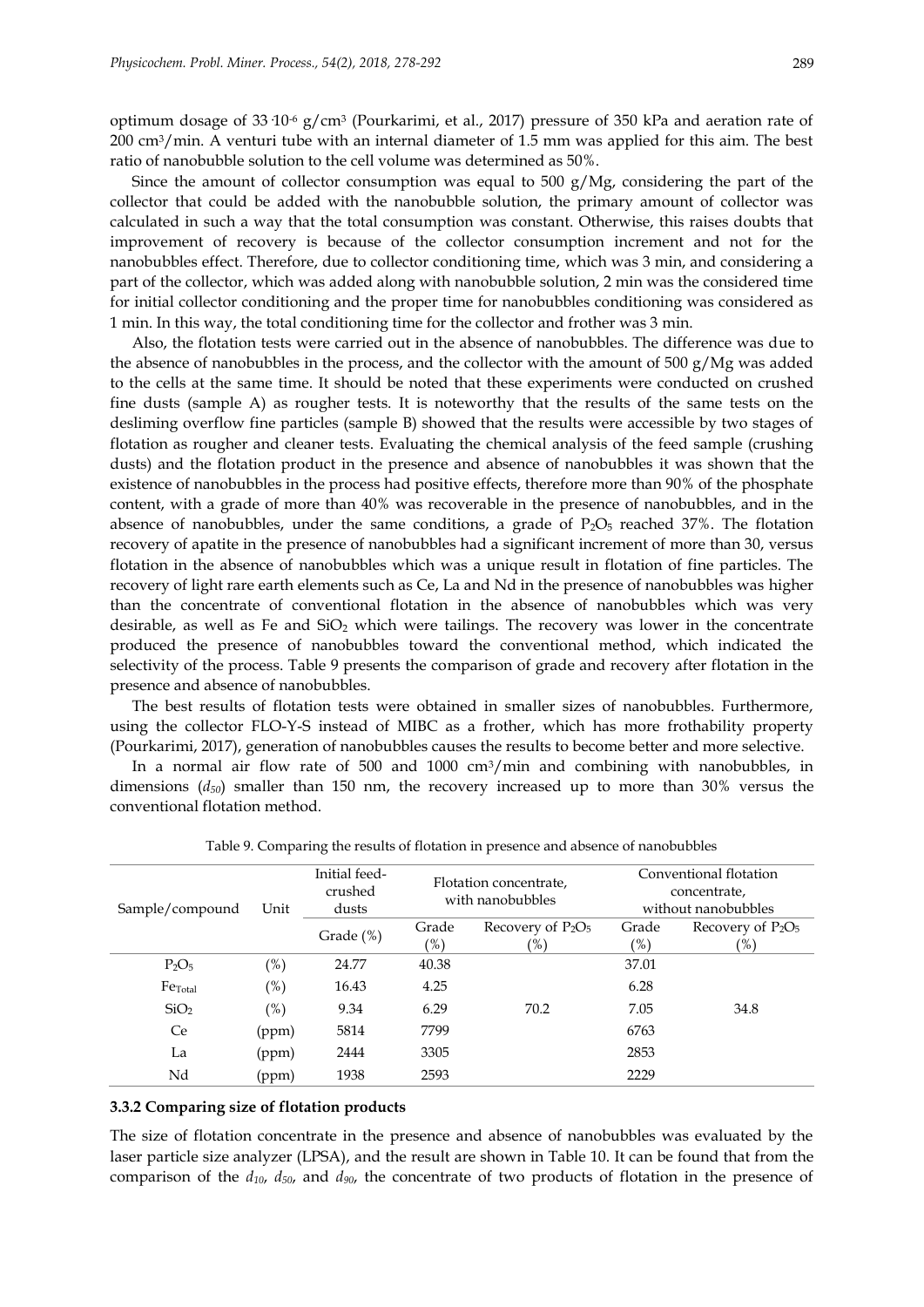optimum dosage of 33·10-6 g/cm<sup>3</sup> (Pourkarimi, et al., 2017) pressure of 350 kPa and aeration rate of 200 cm3/min. A venturi tube with an internal diameter of 1.5 mm was applied for this aim. The best ratio of nanobubble solution to the cell volume was determined as 50%.

Since the amount of collector consumption was equal to 500  $g/Mg$ , considering the part of the collector that could be added with the nanobubble solution, the primary amount of collector was calculated in such a way that the total consumption was constant. Otherwise, this raises doubts that improvement of recovery is because of the collector consumption increment and not for the nanobubbles effect. Therefore, due to collector conditioning time, which was 3 min, and considering a part of the collector, which was added along with nanobubble solution, 2 min was the considered time for initial collector conditioning and the proper time for nanobubbles conditioning was considered as 1 min. In this way, the total conditioning time for the collector and frother was 3 min.

Also, the flotation tests were carried out in the absence of nanobubbles. The difference was due to the absence of nanobubbles in the process, and the collector with the amount of 500 g/Mg was added to the cells at the same time. It should be noted that these experiments were conducted on crushed fine dusts (sample A) as rougher tests. It is noteworthy that the results of the same tests on the desliming overflow fine particles (sample B) showed that the results were accessible by two stages of flotation as rougher and cleaner tests. Evaluating the chemical analysis of the feed sample (crushing dusts) and the flotation product in the presence and absence of nanobubbles it was shown that the existence of nanobubbles in the process had positive effects, therefore more than 90% of the phosphate content, with a grade of more than 40% was recoverable in the presence of nanobubbles, and in the absence of nanobubbles, under the same conditions, a grade of  $P_2O_5$  reached 37%. The flotation recovery of apatite in the presence of nanobubbles had a significant increment of more than 30, versus flotation in the absence of nanobubbles which was a unique result in flotation of fine particles. The recovery of light rare earth elements such as Ce, La and Nd in the presence of nanobubbles was higher than the concentrate of conventional flotation in the absence of nanobubbles which was very desirable, as well as Fe and  $SiO<sub>2</sub>$  which were tailings. The recovery was lower in the concentrate produced the presence of nanobubbles toward the conventional method, which indicated the selectivity of the process. Table 9 presents the comparison of grade and recovery after flotation in the presence and absence of nanobubbles.

The best results of flotation tests were obtained in smaller sizes of nanobubbles. Furthermore, using the collector FLO-Y-S instead of MIBC as a frother, which has more frothability property (Pourkarimi, 2017), generation of nanobubbles causes the results to become better and more selective.

In a normal air flow rate of 500 and  $1000 \text{ cm}^3/\text{min}$  and combining with nanobubbles, in dimensions (*d50*) smaller than 150 nm, the recovery increased up to more than 30% versus the conventional flotation method.

| Sample/compound     | Unit   | Initial feed-<br>crushed<br>dusts | Flotation concentrate,<br>with nanobubbles |                                       | Conventional flotation<br>concentrate,<br>without nanobubbles |                                       |
|---------------------|--------|-----------------------------------|--------------------------------------------|---------------------------------------|---------------------------------------------------------------|---------------------------------------|
|                     |        | Grade (%)                         | Grade<br>$(\%)$                            | Recovery of $P_2O_5$<br>$\frac{9}{6}$ | Grade<br>$(\%)$                                               | Recovery of $P_2O_5$<br>$\frac{9}{6}$ |
| $P_2O_5$            | $(\%)$ | 24.77                             | 40.38                                      |                                       | 37.01                                                         |                                       |
| Fe <sub>Total</sub> | (%)    | 16.43                             | 4.25                                       |                                       | 6.28                                                          |                                       |
| SiO <sub>2</sub>    | (%)    | 9.34                              | 6.29                                       | 70.2                                  | 7.05                                                          | 34.8                                  |
| <b>Ce</b>           | (ppm)  | 5814                              | 7799                                       |                                       | 6763                                                          |                                       |
| La                  | (ppm)  | 2444                              | 3305                                       |                                       | 2853                                                          |                                       |
| Nd                  | (ppm)  | 1938                              | 2593                                       |                                       | 2229                                                          |                                       |

Table 9. Comparing the results of flotation in presence and absence of nanobubbles

# **3.3.2 Comparing size of flotation products**

The size of flotation concentrate in the presence and absence of nanobubbles was evaluated by the laser particle size analyzer (LPSA), and the result are shown in Table 10. It can be found that from the comparison of the *d10*, *d50*, and *d90*, the concentrate of two products of flotation in the presence of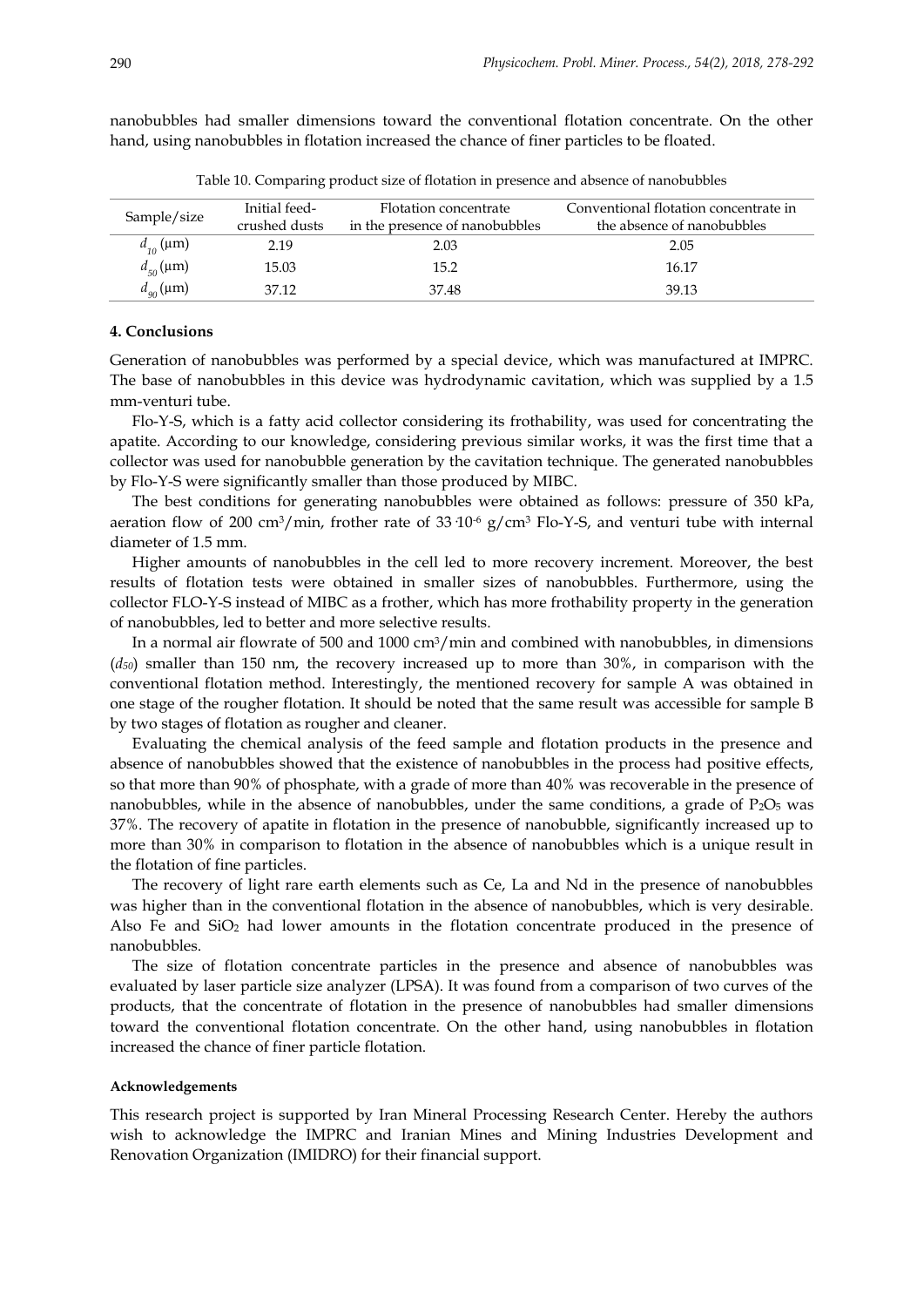|                 | Initial feed- | Flotation concentrate          | Conventional flotation concentrate in |
|-----------------|---------------|--------------------------------|---------------------------------------|
| Sample/size     | crushed dusts | in the presence of nanobubbles | the absence of nanobubbles            |
| $d_{10}$ (µm)   | 2.19          | 2.03                           | 2.05                                  |
| $d_{50}(\mu m)$ | 15.03         | 15.2                           | 16.17                                 |
| $d_{90}(\mu m)$ | 37.12         | 37.48                          | 39.13                                 |

nanobubbles had smaller dimensions toward the conventional flotation concentrate. On the other hand, using nanobubbles in flotation increased the chance of finer particles to be floated.

Table 10. Comparing product size of flotation in presence and absence of nanobubbles

# **4. Conclusions**

Generation of nanobubbles was performed by a special device, which was manufactured at IMPRC. The base of nanobubbles in this device was hydrodynamic cavitation, which was supplied by a 1.5 mm-venturi tube.

Flo-Y-S, which is a fatty acid collector considering its frothability, was used for concentrating the apatite. According to our knowledge, considering previous similar works, it was the first time that a collector was used for nanobubble generation by the cavitation technique. The generated nanobubbles by Flo-Y-S were significantly smaller than those produced by MIBC.

The best conditions for generating nanobubbles were obtained as follows: pressure of 350 kPa, aeration flow of 200 cm<sup>3</sup>/min, frother rate of 33  $10^{-6}$  g/cm<sup>3</sup> Flo-Y-S, and venturi tube with internal diameter of 1.5 mm.

Higher amounts of nanobubbles in the cell led to more recovery increment. Moreover, the best results of flotation tests were obtained in smaller sizes of nanobubbles. Furthermore, using the collector FLO-Y-S instead of MIBC as a frother, which has more frothability property in the generation of nanobubbles, led to better and more selective results.

In a normal air flowrate of 500 and 1000 cm<sup>3</sup>/min and combined with nanobubbles, in dimensions (*d50*) smaller than 150 nm, the recovery increased up to more than 30%, in comparison with the conventional flotation method. Interestingly, the mentioned recovery for sample A was obtained in one stage of the rougher flotation. It should be noted that the same result was accessible for sample B by two stages of flotation as rougher and cleaner.

Evaluating the chemical analysis of the feed sample and flotation products in the presence and absence of nanobubbles showed that the existence of nanobubbles in the process had positive effects, so that more than 90% of phosphate, with a grade of more than 40% was recoverable in the presence of nanobubbles, while in the absence of nanobubbles, under the same conditions, a grade of  $P_2O_5$  was 37%. The recovery of apatite in flotation in the presence of nanobubble, significantly increased up to more than 30% in comparison to flotation in the absence of nanobubbles which is a unique result in the flotation of fine particles.

The recovery of light rare earth elements such as Ce, La and Nd in the presence of nanobubbles was higher than in the conventional flotation in the absence of nanobubbles, which is very desirable. Also Fe and  $SiO<sub>2</sub>$  had lower amounts in the flotation concentrate produced in the presence of nanobubbles.

The size of flotation concentrate particles in the presence and absence of nanobubbles was evaluated by laser particle size analyzer (LPSA). It was found from a comparison of two curves of the products, that the concentrate of flotation in the presence of nanobubbles had smaller dimensions toward the conventional flotation concentrate. On the other hand, using nanobubbles in flotation increased the chance of finer particle flotation.

## **Acknowledgements**

This research project is supported by Iran Mineral Processing Research Center. Hereby the authors wish to acknowledge the IMPRC and Iranian Mines and Mining Industries Development and Renovation Organization (IMIDRO) for their financial support.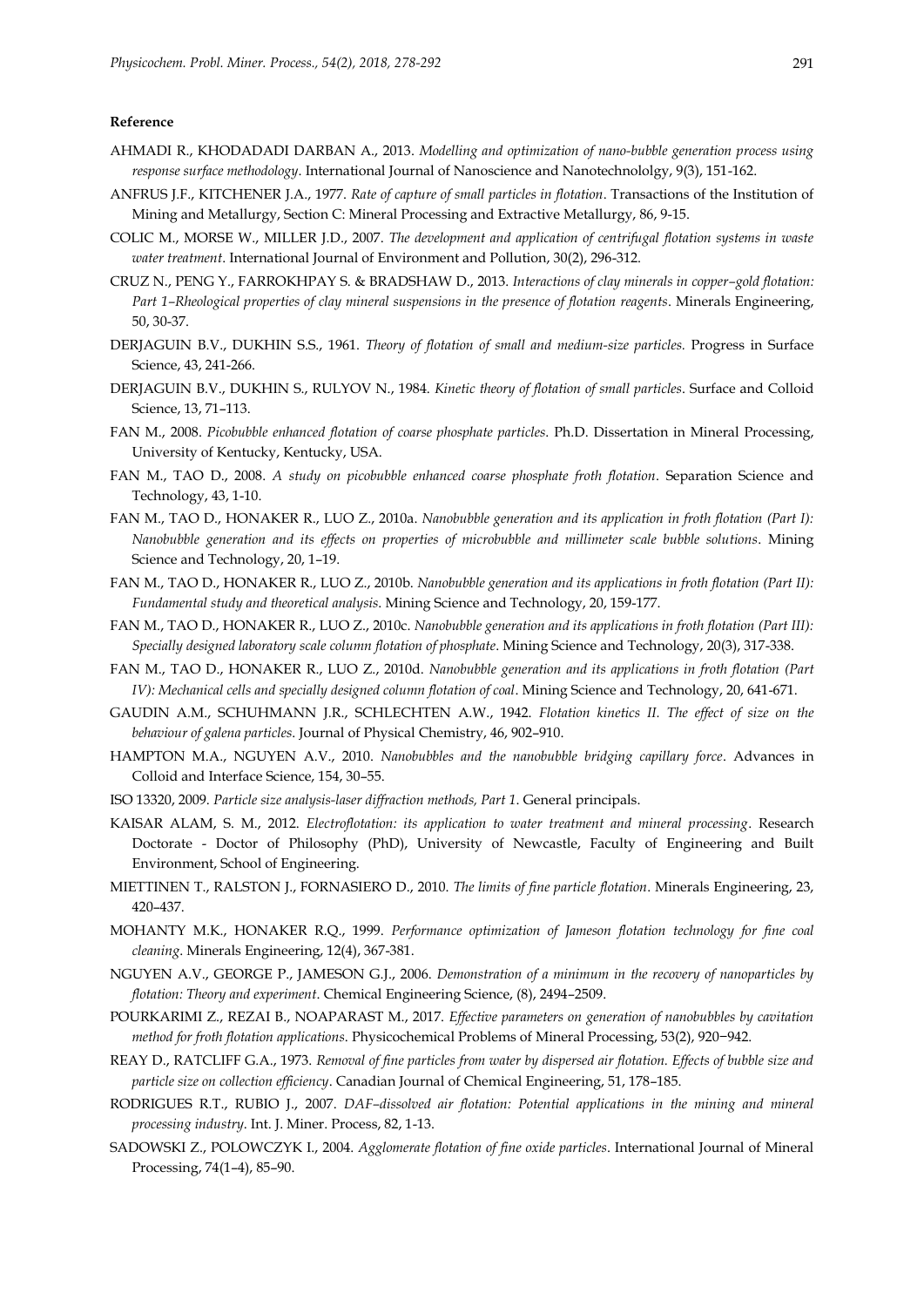## **Reference**

- AHMADI R., KHODADADI DARBAN A., 2013. *Modelling and optimization of nano-bubble generation process using response surface methodology*. International Journal of Nanoscience and Nanotechnololgy, 9(3), 151-162.
- ANFRUS J.F., KITCHENER J.A., 1977. *Rate of capture of small particles in flotation*. Transactions of the Institution of Mining and Metallurgy, Section C: Mineral Processing and Extractive Metallurgy, 86, 9-15.
- COLIC M., MORSE W., MILLER J.D., 2007. *The development and application of centrifugal flotation systems in waste water treatment*. International Journal of Environment and Pollution, 30(2), 296-312.
- CRUZ N., PENG Y., FARROKHPAY S. & BRADSHAW D., 2013. *Interactions of clay minerals in copper–gold flotation: Part 1–Rheological properties of clay mineral suspensions in the presence of flotation reagents*. Minerals Engineering, 50, 30-37.
- DERJAGUIN B.V., DUKHIN S.S., 1961. *Theory of flotation of small and medium-size particles.* Progress in Surface Science, 43, 241-266.
- DERJAGUIN B.V., DUKHIN S., RULYOV N., 1984. *Kinetic theory of flotation of small particles*. Surface and Colloid Science, 13, 71–113.
- FAN M., 2008. *Picobubble enhanced flotation of coarse phosphate particles*. Ph.D. Dissertation in Mineral Processing, University of Kentucky, Kentucky, USA.
- FAN M., TAO D., 2008. *A study on picobubble enhanced coarse phosphate froth flotation*. Separation Science and Technology, 43, 1-10.
- FAN M., TAO D., HONAKER R., LUO Z., 2010a. *Nanobubble generation and its application in froth flotation (Part I): Nanobubble generation and its effects on properties of microbubble and millimeter scale bubble solutions*. Mining Science and Technology, 20, 1–19.
- FAN M., TAO D., HONAKER R., LUO Z., 2010b. *Nanobubble generation and its applications in froth flotation (Part II): Fundamental study and theoretical analysis*. Mining Science and Technology, 20, 159-177.
- FAN M., TAO D., HONAKER R., LUO Z., 2010c. *Nanobubble generation and its applications in froth flotation (Part III): Specially designed laboratory scale column flotation of phosphate*. Mining Science and Technology, 20(3), 317-338.
- FAN M., TAO D., HONAKER R., LUO Z., 2010d. *Nanobubble generation and its applications in froth flotation (Part IV): Mechanical cells and specially designed column flotation of coal*. Mining Science and Technology, 20, 641-671.
- GAUDIN A.M., SCHUHMANN J.R., SCHLECHTEN A.W., 1942. *Flotation kinetics II. The effect of size on the behaviour of galena particles*. Journal of Physical Chemistry, 46, 902–910.
- HAMPTON M.A., NGUYEN A.V., 2010. *Nanobubbles and the nanobubble bridging capillary force*. Advances in Colloid and Interface Science, 154, 30–55.
- ISO 13320, 2009. *Particle size analysis-laser diffraction methods, Part 1*. General principals.
- KAISAR ALAM, S. M., 2012. *Electroflotation: its application to water treatment and mineral processing*. Research Doctorate - Doctor of Philosophy (PhD), University of Newcastle, Faculty of Engineering and Built Environment, School of Engineering.
- MIETTINEN T., RALSTON J., FORNASIERO D., 2010. *The limits of fine particle flotation*. Minerals Engineering, 23, 420–437.
- MOHANTY M.K., HONAKER R.Q., 1999. *Performance optimization of Jameson flotation technology for fine coal cleaning*. Minerals Engineering, 12(4), 367-381.
- NGUYEN A.V., GEORGE P., JAMESON G.J., 2006. *Demonstration of a minimum in the recovery of nanoparticles by flotation: Theory and experiment*. Chemical Engineering Science, (8), 2494–2509.
- POURKARIMI Z., REZAI B., NOAPARAST M., 2017. *Effective parameters on generation of nanobubbles by cavitation method for froth flotation applications*. Physicochemical Problems of Mineral Processing, 53(2), 920−942.
- REAY D., RATCLIFF G.A., 1973. *Removal of fine particles from water by dispersed air flotation. Effects of bubble size and particle size on collection efficiency*. Canadian Journal of Chemical Engineering, 51, 178–185.
- RODRIGUES R.T., RUBIO J., 2007. *DAF–dissolved air flotation: Potential applications in the mining and mineral processing industry*. Int. J. Miner. Process, 82, 1-13.
- SADOWSKI Z., POLOWCZYK I., 2004. *Agglomerate flotation of fine oxide particles*. International Journal of Mineral Processing, 74(1–4), 85–90.